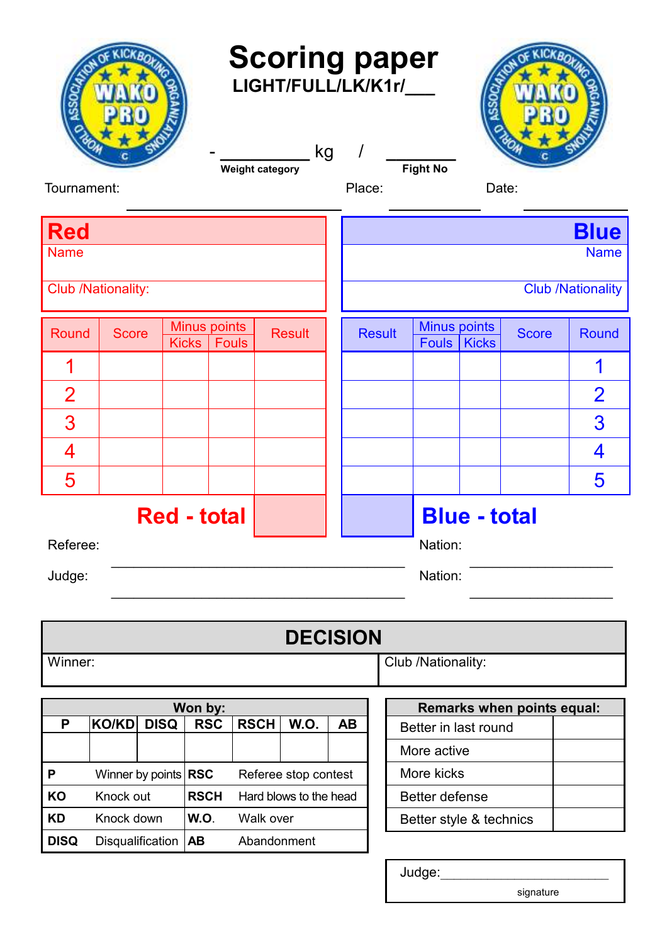| <b>Scoring paper</b><br>LIGHT/FULL/LK/K1r/<br>kg<br>I<br><b>Fight No</b><br><b>Weight category</b><br>Tournament:<br>Place:<br>Date: |                    |              |                     |                                                |               |           |                                |         |                                      |  |                            |                |
|--------------------------------------------------------------------------------------------------------------------------------------|--------------------|--------------|---------------------|------------------------------------------------|---------------|-----------|--------------------------------|---------|--------------------------------------|--|----------------------------|----------------|
| <b>Red</b>                                                                                                                           |                    |              |                     |                                                |               |           |                                |         |                                      |  |                            | <b>Blue</b>    |
| <b>Name</b>                                                                                                                          |                    |              |                     |                                                |               |           |                                |         | <b>Name</b>                          |  |                            |                |
|                                                                                                                                      | Club /Nationality: |              |                     |                                                |               |           | <b>Club /Nationality</b>       |         |                                      |  |                            |                |
| Round                                                                                                                                | <b>Score</b>       | <b>Kicks</b> | <b>Minus points</b> | <b>Fouls</b>                                   | <b>Result</b> |           | <b>Result</b>                  |         | <b>Minus points</b><br>Fouls   Kicks |  | <b>Score</b>               | Round          |
|                                                                                                                                      |                    |              |                     |                                                |               |           |                                |         |                                      |  |                            |                |
| $\overline{2}$                                                                                                                       |                    |              |                     |                                                |               |           |                                |         |                                      |  |                            | $\overline{2}$ |
| 3                                                                                                                                    |                    |              |                     |                                                |               |           |                                |         |                                      |  |                            | 3              |
| 4                                                                                                                                    |                    |              |                     |                                                |               |           |                                |         |                                      |  |                            | 4              |
| 5                                                                                                                                    |                    |              |                     |                                                |               |           |                                |         |                                      |  |                            | 5              |
| <b>Red - total</b><br>Referee:                                                                                                       |                    |              |                     |                                                |               |           | <b>Blue - total</b><br>Nation: |         |                                      |  |                            |                |
| Judge:                                                                                                                               |                    |              |                     |                                                |               |           |                                | Nation: |                                      |  |                            |                |
| <b>DECISION</b>                                                                                                                      |                    |              |                     |                                                |               |           |                                |         |                                      |  |                            |                |
| Winner:<br>Club /Nationality:                                                                                                        |                    |              |                     |                                                |               |           |                                |         |                                      |  |                            |                |
| Won by:                                                                                                                              |                    |              |                     |                                                |               |           |                                |         |                                      |  | Remarks when points equal: |                |
| P                                                                                                                                    | <b>KO/KD</b>       | <b>DISQ</b>  | <b>RSC</b>          | <b>RSCH</b>                                    | W.O.          | <b>AB</b> |                                |         | Better in last round                 |  |                            |                |
|                                                                                                                                      |                    |              |                     |                                                |               |           |                                |         | More active                          |  |                            |                |
| Winner by points RSC<br>$\boldsymbol{\mathsf{P}}$<br>Knock out<br>KO                                                                 |                    |              | <b>RSCH</b>         | Referee stop contest<br>Hard blows to the head |               |           | More kicks<br>Better defense   |         |                                      |  |                            |                |
| <b>KD</b>                                                                                                                            | Knock down         |              |                     | Walk over                                      |               |           | Better style & technics        |         |                                      |  |                            |                |
| <b>DISQ</b>                                                                                                                          | Disqualification   |              | W.O.<br><b>AB</b>   | Abandonment                                    |               |           |                                |         |                                      |  |                            |                |

Judge:\_\_\_\_\_\_\_\_\_\_\_\_\_\_\_\_\_\_\_\_\_\_\_\_\_

signature